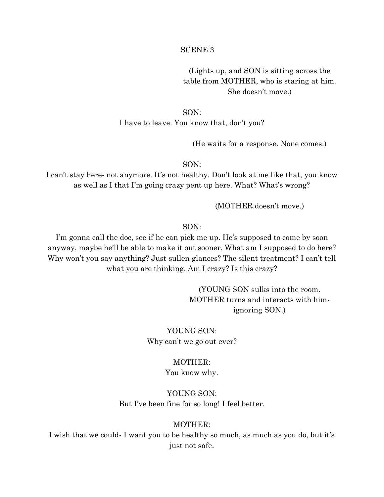#### SCENE 3

(Lights up, and SON is sitting across the table from MOTHER, who is staring at him. She doesn't move.)

SON: I have to leave. You know that, don't you?

(He waits for a response. None comes.)

SON:

I can't stay here- not anymore. It's not healthy. Don't look at me like that, you know as well as I that I'm going crazy pent up here. What? What's wrong?

(MOTHER doesn't move.)

SON:

I'm gonna call the doc, see if he can pick me up. He's supposed to come by soon anyway, maybe he'll be able to make it out sooner. What am I supposed to do here? Why won't you say anything? Just sullen glances? The silent treatment? I can't tell what you are thinking. Am I crazy? Is this crazy?

> (YOUNG SON sulks into the room. MOTHER turns and interacts with himignoring SON.)

YOUNG SON: Why can't we go out ever?

## MOTHER:

#### You know why.

YOUNG SON: But I've been fine for so long! I feel better.

### MOTHER:

I wish that we could- I want you to be healthy so much, as much as you do, but it's just not safe.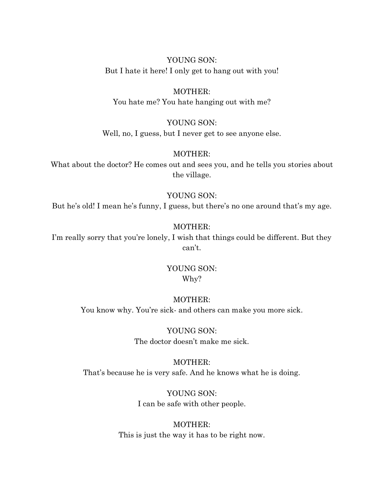YOUNG SON: But I hate it here! I only get to hang out with you!

# MOTHER:

You hate me? You hate hanging out with me?

### YOUNG SON:

Well, no, I guess, but I never get to see anyone else.

### MOTHER:

What about the doctor? He comes out and sees you, and he tells you stories about the village.

#### YOUNG SON:

But he's old! I mean he's funny, I guess, but there's no one around that's my age.

#### MOTHER:

I'm really sorry that you're lonely, I wish that things could be different. But they can't.

# YOUNG SON: Why?

### MOTHER:

You know why. You're sick- and others can make you more sick.

YOUNG SON: The doctor doesn't make me sick.

#### MOTHER:

That's because he is very safe. And he knows what he is doing.

YOUNG SON: I can be safe with other people.

# MOTHER: This is just the way it has to be right now.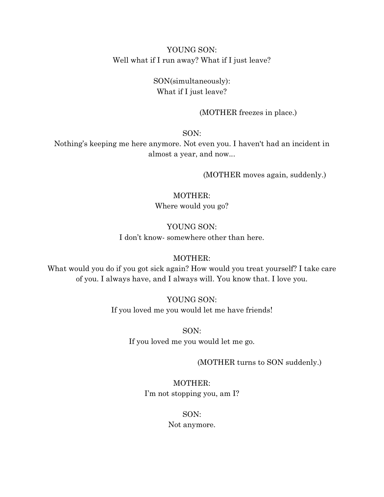YOUNG SON: Well what if I run away? What if I just leave?

> SON(simultaneously): What if I just leave?

> > (MOTHER freezes in place.)

SON:

Nothing's keeping me here anymore. Not even you. I haven't had an incident in almost a year, and now...

(MOTHER moves again, suddenly.)

MOTHER: Where would you go?

YOUNG SON:

I don't know- somewhere other than here.

### MOTHER:

What would you do if you got sick again? How would you treat yourself? I take care of you. I always have, and I always will. You know that. I love you.

> YOUNG SON: If you loved me you would let me have friends!

> > SON: If you loved me you would let me go.

> > > (MOTHER turns to SON suddenly.)

MOTHER: I'm not stopping you, am I?

SON:

Not anymore.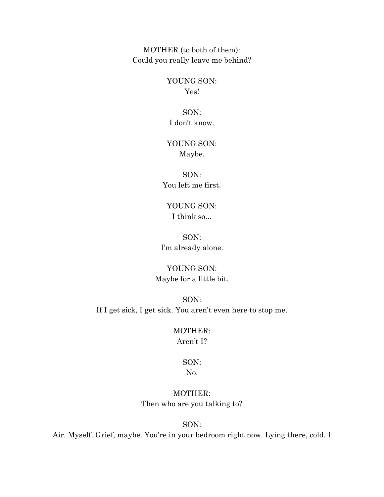MOTHER (to both of them): Could you really leave me behind?

> YOUNG SON: Yes!

SON: I don't know.

# YOUNG SON: Maybe.

SON: You left me first.

YOUNG SON: I think so...

SON: I'm already alone.

YOUNG SON: Maybe for a little bit.

SON: If I get sick, I get sick. You aren't even here to stop me.

# MOTHER: Aren't I?

# SON:

# No.

MOTHER: Then who are you talking to?

SON:

Air. Myself. Grief, maybe. You're in your bedroom right now. Lying there, cold. I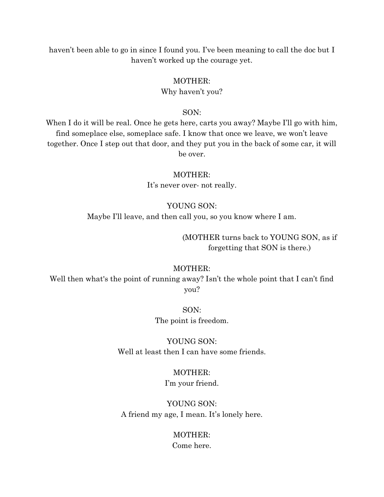haven't been able to go in since I found you. I've been meaning to call the doc but I haven't worked up the courage yet.

### MOTHER:

#### Why haven't you?

#### SON:

When I do it will be real. Once he gets here, carts you away? Maybe I'll go with him, find someplace else, someplace safe. I know that once we leave, we won't leave together. Once I step out that door, and they put you in the back of some car, it will be over.

#### MOTHER:

It's never over- not really.

#### YOUNG SON:

Maybe I'll leave, and then call you, so you know where I am.

(MOTHER turns back to YOUNG SON, as if forgetting that SON is there.)

#### MOTHER:

Well then what's the point of running away? Isn't the whole point that I can't find you?

> SON: The point is freedom.

YOUNG SON: Well at least then I can have some friends.

# MOTHER:

I'm your friend.

YOUNG SON: A friend my age, I mean. It's lonely here.

# MOTHER: Come here.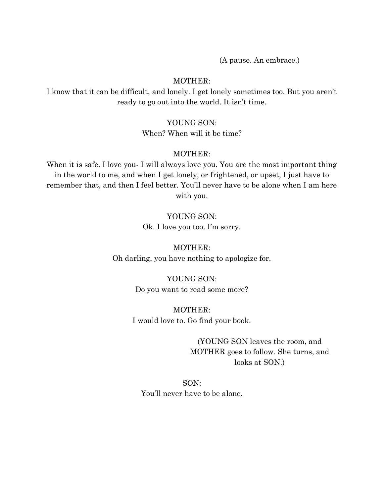(A pause. An embrace.)

### MOTHER:

I know that it can be difficult, and lonely. I get lonely sometimes too. But you aren't ready to go out into the world. It isn't time.

### YOUNG SON:

When? When will it be time?

#### MOTHER:

When it is safe. I love you- I will always love you. You are the most important thing in the world to me, and when I get lonely, or frightened, or upset, I just have to remember that, and then I feel better. You'll never have to be alone when I am here with you.

## YOUNG SON:

Ok. I love you too. I'm sorry.

MOTHER: Oh darling, you have nothing to apologize for.

> YOUNG SON: Do you want to read some more?

MOTHER: I would love to. Go find your book.

> (YOUNG SON leaves the room, and MOTHER goes to follow. She turns, and looks at SON.)

SON: You'll never have to be alone.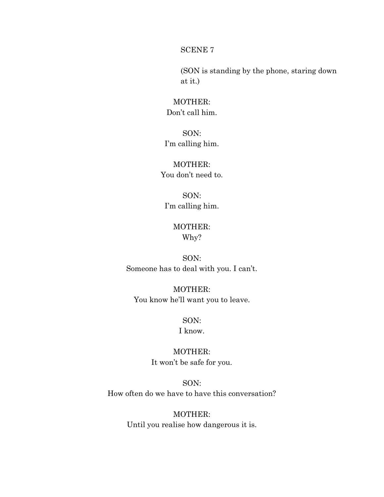#### SCENE 7

(SON is standing by the phone, staring down at it.)

# MOTHER: Don't call him.

SON: I'm calling him.

# MOTHER: You don't need to.

SON: I'm calling him.

# MOTHER: Why?

SON: Someone has to deal with you. I can't.

MOTHER: You know he'll want you to leave.

# SON:

# I know.

MOTHER: It won't be safe for you.

SON: How often do we have to have this conversation?

> MOTHER: Until you realise how dangerous it is.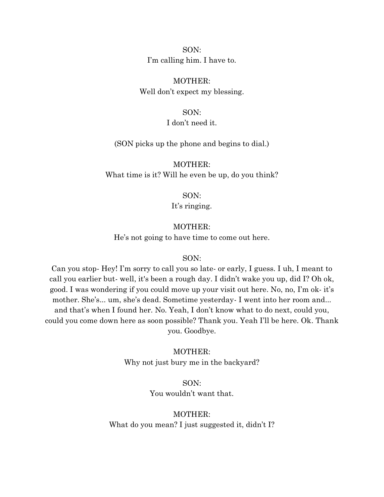SON: I'm calling him. I have to.

MOTHER: Well don't expect my blessing.

SON:

I don't need it.

(SON picks up the phone and begins to dial.)

MOTHER: What time is it? Will he even be up, do you think?

SON:

It's ringing.

#### MOTHER:

He's not going to have time to come out here.

#### SON:

Can you stop- Hey! I'm sorry to call you so late- or early, I guess. I uh, I meant to call you earlier but- well, it's been a rough day. I didn't wake you up, did I? Oh ok, good. I was wondering if you could move up your visit out here. No, no, I'm ok- it's mother. She's... um, she's dead. Sometime yesterday- I went into her room and... and that's when I found her. No. Yeah, I don't know what to do next, could you, could you come down here as soon possible? Thank you. Yeah I'll be here. Ok. Thank you. Goodbye.

MOTHER:

Why not just bury me in the backyard?

SON: You wouldn't want that.

MOTHER: What do you mean? I just suggested it, didn't I?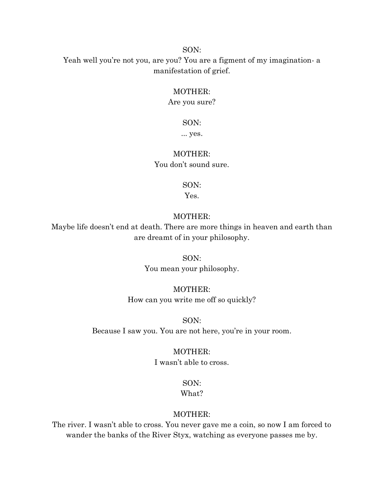#### SON:

Yeah well you're not you, are you? You are a figment of my imagination- a manifestation of grief.

### MOTHER:

Are you sure?

### SON:

... yes.

### MOTHER:

You don't sound sure.

SON:

Yes.

#### MOTHER:

Maybe life doesn't end at death. There are more things in heaven and earth than are dreamt of in your philosophy.

SON:

You mean your philosophy.

### MOTHER:

How can you write me off so quickly?

SON:

Because I saw you. You are not here, you're in your room.

#### MOTHER:

I wasn't able to cross.

## SON:

What?

## MOTHER:

The river. I wasn't able to cross. You never gave me a coin, so now I am forced to wander the banks of the River Styx, watching as everyone passes me by.